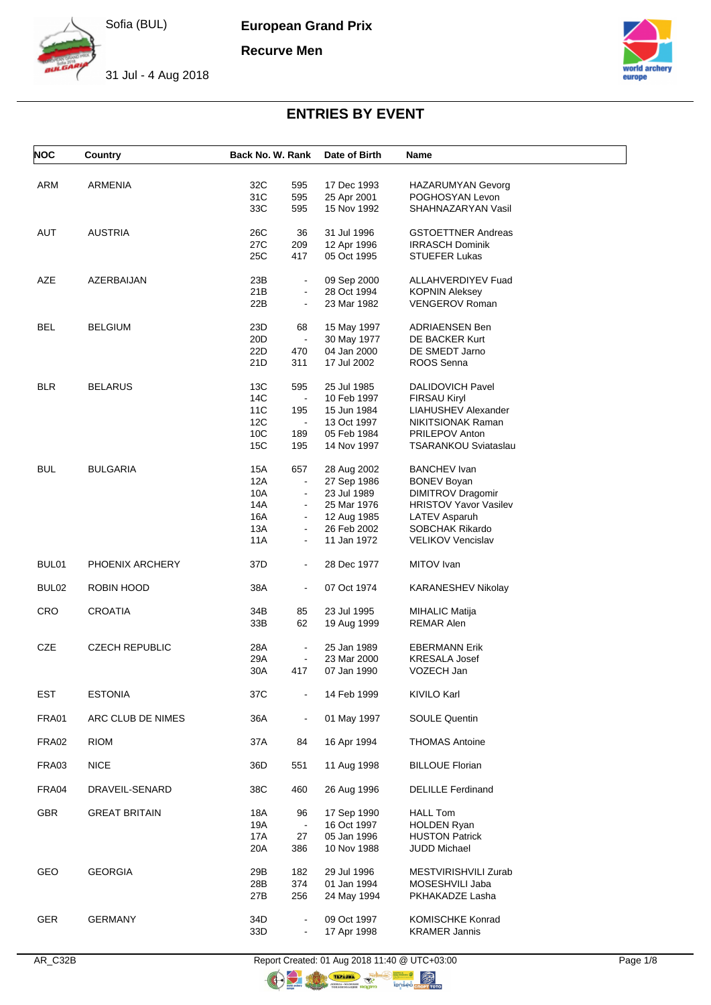**European Grand Prix**

**Recurve Men**



31 Jul - 4 Aug 2018



# **ENTRIES BY EVENT**

| <b>NOC</b>        | Country               | Back No. W. Rank                               | Date of Birth              | Name                                                 |
|-------------------|-----------------------|------------------------------------------------|----------------------------|------------------------------------------------------|
|                   |                       |                                                |                            |                                                      |
| ARM               | ARMENIA               | 32C<br>595                                     | 17 Dec 1993                | <b>HAZARUMYAN Gevorg</b>                             |
|                   |                       | 31C<br>595                                     | 25 Apr 2001                | POGHOSYAN Levon<br>SHAHNAZARYAN Vasil                |
|                   |                       | 33C<br>595                                     | 15 Nov 1992                |                                                      |
| AUT               | <b>AUSTRIA</b>        | 26C<br>36                                      | 31 Jul 1996                | <b>GSTOETTNER Andreas</b>                            |
|                   |                       | 27C<br>209                                     | 12 Apr 1996                | <b>IRRASCH Dominik</b>                               |
|                   |                       | 25C<br>417                                     | 05 Oct 1995                | <b>STUEFER Lukas</b>                                 |
| AZE               | AZERBAIJAN            | 23B<br>$\blacksquare$                          | 09 Sep 2000                | <b>ALLAHVERDIYEV Fuad</b>                            |
|                   |                       | 21B<br>$\blacksquare$                          | 28 Oct 1994                | <b>KOPNIN Aleksey</b>                                |
|                   |                       | 22B<br>$\blacksquare$                          | 23 Mar 1982                | <b>VENGEROV Roman</b>                                |
|                   |                       |                                                |                            |                                                      |
| <b>BEL</b>        | <b>BELGIUM</b>        | 23D<br>68                                      | 15 May 1997                | <b>ADRIAENSEN Ben</b>                                |
|                   |                       | 20D<br>$\blacksquare$<br>22D<br>470            | 30 May 1977<br>04 Jan 2000 | DE BACKER Kurt<br>DE SMEDT Jarno                     |
|                   |                       | 21D<br>311                                     | 17 Jul 2002                | ROOS Senna                                           |
|                   |                       |                                                |                            |                                                      |
| <b>BLR</b>        | <b>BELARUS</b>        | 13C<br>595                                     | 25 Jul 1985                | <b>DALIDOVICH Pavel</b>                              |
|                   |                       | 14C<br>$\mathbf{u}$                            | 10 Feb 1997                | FIRSAU Kiryl                                         |
|                   |                       | 11C<br>195                                     | 15 Jun 1984                | LIAHUSHEV Alexander                                  |
|                   |                       | 12C<br>$\blacksquare$                          | 13 Oct 1997                | NIKITSIONAK Raman                                    |
|                   |                       | 10 <sub>C</sub><br>189<br>15C<br>195           | 05 Feb 1984<br>14 Nov 1997 | <b>PRILEPOV Anton</b><br><b>TSARANKOU Sviataslau</b> |
|                   |                       |                                                |                            |                                                      |
| <b>BUL</b>        | <b>BULGARIA</b>       | 15A<br>657                                     | 28 Aug 2002                | <b>BANCHEV Ivan</b>                                  |
|                   |                       | 12A<br>$\blacksquare$                          | 27 Sep 1986                | <b>BONEV Boyan</b>                                   |
|                   |                       | 10A<br>$\blacksquare$                          | 23 Jul 1989                | <b>DIMITROV Dragomir</b>                             |
|                   |                       | 14A                                            | 25 Mar 1976                | <b>HRISTOV Yavor Vasilev</b>                         |
|                   |                       | 16A<br>$\blacksquare$<br>13A<br>$\blacksquare$ | 12 Aug 1985<br>26 Feb 2002 | <b>LATEV Asparuh</b><br>SOBCHAK Rikardo              |
|                   |                       | 11A                                            | 11 Jan 1972                | <b>VELIKOV Vencislav</b>                             |
| BUL01             | PHOENIX ARCHERY       | 37D<br>$\blacksquare$                          | 28 Dec 1977                | MITOV Ivan                                           |
|                   |                       |                                                |                            |                                                      |
| BUL <sub>02</sub> | ROBIN HOOD            | 38A<br>$\blacksquare$                          | 07 Oct 1974                | KARANESHEV Nikolay                                   |
| <b>CRO</b>        | <b>CROATIA</b>        | 34B<br>85                                      | 23 Jul 1995                | MIHALIC Matija                                       |
|                   |                       | 62<br>33B                                      | 19 Aug 1999                | <b>REMAR Alen</b>                                    |
|                   |                       |                                                |                            |                                                      |
| CZE               | <b>CZECH REPUBLIC</b> | 28A<br>$\blacksquare$                          | 25 Jan 1989                | <b>EBERMANN Erik</b>                                 |
|                   |                       | 29A<br>$\blacksquare$                          | 23 Mar 2000                | <b>KRESALA Josef</b>                                 |
|                   |                       | 30A<br>417                                     | 07 Jan 1990                | VOZECH Jan                                           |
| <b>EST</b>        | <b>ESTONIA</b>        | 37C                                            | 14 Feb 1999                | <b>KIVILO Karl</b>                                   |
| FRA01             | ARC CLUB DE NIMES     | 36A<br>$\blacksquare$                          | 01 May 1997                | <b>SOULE Quentin</b>                                 |
|                   |                       |                                                |                            |                                                      |
| FRA02             | <b>RIOM</b>           | 37A<br>84                                      | 16 Apr 1994                | <b>THOMAS Antoine</b>                                |
| FRA03             | <b>NICE</b>           | 36D<br>551                                     | 11 Aug 1998                | <b>BILLOUE Florian</b>                               |
| FRA04             | DRAVEIL-SENARD        | 38C<br>460                                     | 26 Aug 1996                | <b>DELILLE Ferdinand</b>                             |
| <b>GBR</b>        |                       | 18A                                            | 17 Sep 1990                | <b>HALL Tom</b>                                      |
|                   | <b>GREAT BRITAIN</b>  | 96<br>19A<br>$\blacksquare$                    | 16 Oct 1997                | <b>HOLDEN Ryan</b>                                   |
|                   |                       | 17A<br>27                                      | 05 Jan 1996                | <b>HUSTON Patrick</b>                                |
|                   |                       | 20A<br>386                                     | 10 Nov 1988                | JUDD Michael                                         |
|                   |                       |                                                |                            |                                                      |
| GEO               | <b>GEORGIA</b>        | 29B<br>182<br>28B<br>374                       | 29 Jul 1996<br>01 Jan 1994 | MESTVIRISHVILI Zurab<br>MOSESHVILI Jaba              |
|                   |                       | 27B<br>256                                     | 24 May 1994                | PKHAKADZE Lasha                                      |
|                   |                       |                                                |                            |                                                      |
| GER               | <b>GERMANY</b>        | 34D                                            | 09 Oct 1997                | <b>KOMISCHKE Konrad</b>                              |
|                   |                       | 33D<br>$\blacksquare$                          | 17 Apr 1998                | <b>KRAMER Jannis</b>                                 |

AR\_C32B Report Created: 01 Aug 2018 11:40 @ UTC+03:00 Page 1/8<br> **Report Created: 01 Aug 2018 11:40 @ UTC+03:00** 

OF THE THE STATE OF THE STATE OF THE STATE OF THE STATE OF THE STATE OF THE STATE OF THE STATE OF THE STATE OF THE STATE OF THE STATE OF THE STATE OF THE STATE OF THE STATE OF THE STATE OF THE STATE OF THE STATE OF THE STA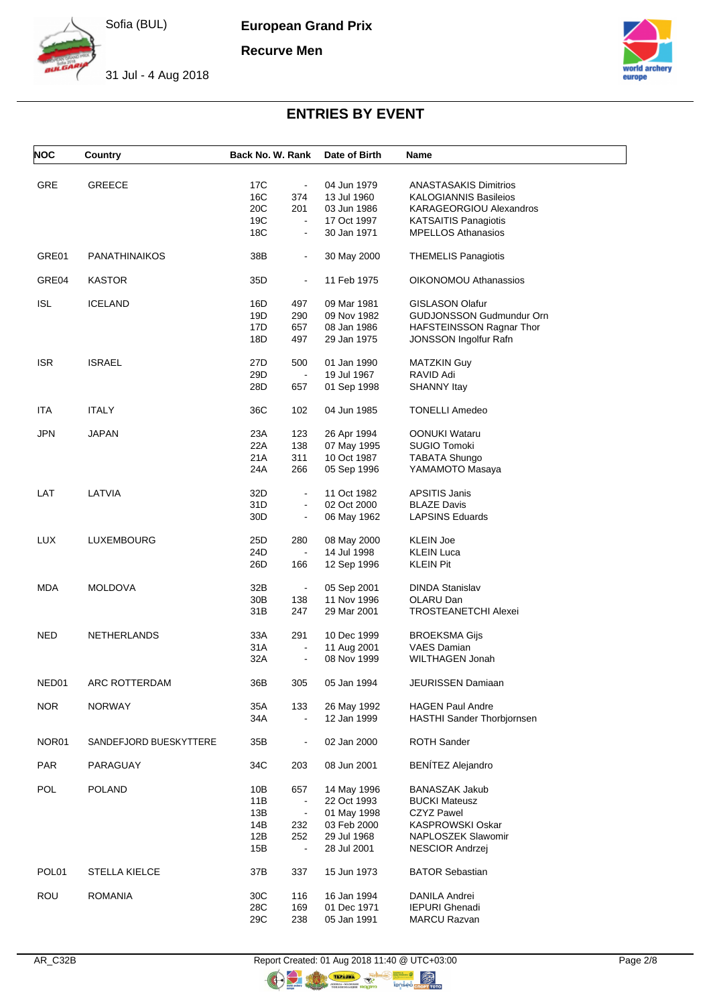**European Grand Prix**

**Recurve Men**



31 Jul - 4 Aug 2018



# **ENTRIES BY EVENT**

| <b>NOC</b>        | Country                | Back No. W. Rank |                | Date of Birth | Name                              |
|-------------------|------------------------|------------------|----------------|---------------|-----------------------------------|
|                   |                        |                  |                |               |                                   |
| GRE               | <b>GREECE</b>          | 17C              | $\blacksquare$ | 04 Jun 1979   | <b>ANASTASAKIS Dimitrios</b>      |
|                   |                        | 16C              | 374            | 13 Jul 1960   | <b>KALOGIANNIS Basileios</b>      |
|                   |                        | 20C              | 201            | 03 Jun 1986   | KARAGEORGIOU Alexandros           |
|                   |                        | 19C              |                | 17 Oct 1997   | <b>KATSAITIS Panagiotis</b>       |
|                   |                        | 18C              | $\blacksquare$ | 30 Jan 1971   | <b>MPELLOS Athanasios</b>         |
| GRE01             | <b>PANATHINAIKOS</b>   | 38B              | $\blacksquare$ | 30 May 2000   | <b>THEMELIS Panagiotis</b>        |
| GRE04             | <b>KASTOR</b>          | 35D              | $\blacksquare$ | 11 Feb 1975   | OIKONOMOU Athanassios             |
| ISL               | <b>ICELAND</b>         | 16D              | 497            | 09 Mar 1981   | <b>GISLASON Olafur</b>            |
|                   |                        | 19D              | 290            | 09 Nov 1982   | <b>GUDJONSSON Gudmundur Orn</b>   |
|                   |                        | 17D              | 657            | 08 Jan 1986   | HAFSTEINSSON Ragnar Thor          |
|                   |                        | 18D              | 497            | 29 Jan 1975   | <b>JONSSON Ingolfur Rafn</b>      |
| <b>ISR</b>        | <b>ISRAEL</b>          | 27D              | 500            | 01 Jan 1990   | <b>MATZKIN Guy</b>                |
|                   |                        | 29D              | $\blacksquare$ | 19 Jul 1967   | RAVID Adi                         |
|                   |                        | 28D              | 657            | 01 Sep 1998   | <b>SHANNY Itay</b>                |
| ITA               | <b>ITALY</b>           | 36C              | 102            | 04 Jun 1985   | <b>TONELLI Amedeo</b>             |
| JPN               | <b>JAPAN</b>           | 23A              | 123            | 26 Apr 1994   | <b>OONUKI Wataru</b>              |
|                   |                        | 22A              | 138            | 07 May 1995   | <b>SUGIO Tomoki</b>               |
|                   |                        | 21A              | 311            | 10 Oct 1987   | <b>TABATA Shungo</b>              |
|                   |                        |                  |                |               |                                   |
|                   |                        | 24A              | 266            | 05 Sep 1996   | YAMAMOTO Masaya                   |
| LAT               | LATVIA                 | 32D              | $\blacksquare$ | 11 Oct 1982   | <b>APSITIS Janis</b>              |
|                   |                        | 31D              | $\blacksquare$ | 02 Oct 2000   | <b>BLAZE Davis</b>                |
|                   |                        | 30 <sub>D</sub>  | $\blacksquare$ | 06 May 1962   | <b>LAPSINS Eduards</b>            |
| <b>LUX</b>        | LUXEMBOURG             | 25D              | 280            | 08 May 2000   | <b>KLEIN Joe</b>                  |
|                   |                        | 24D              | $\blacksquare$ | 14 Jul 1998   | <b>KLEIN Luca</b>                 |
|                   |                        | 26D              | 166            | 12 Sep 1996   | <b>KLEIN Pit</b>                  |
| <b>MDA</b>        | <b>MOLDOVA</b>         | 32B              | $\blacksquare$ | 05 Sep 2001   | <b>DINDA Stanislav</b>            |
|                   |                        | 30B              | 138            | 11 Nov 1996   | OLARU Dan                         |
|                   |                        | 31B              | 247            | 29 Mar 2001   | <b>TROSTEANETCHI Alexei</b>       |
| NED               | <b>NETHERLANDS</b>     | 33A              | 291            | 10 Dec 1999   | <b>BROEKSMA Gijs</b>              |
|                   |                        | 31 A             | $\blacksquare$ | 11 Aug 2001   | <b>VAES Damian</b>                |
|                   |                        | 32A              | $\blacksquare$ | 08 Nov 1999   | WILTHAGEN Jonah                   |
| NED01             | ARC ROTTERDAM          | 36B              | 305            | 05 Jan 1994   | JEURISSEN Damiaan                 |
|                   |                        |                  |                |               |                                   |
| <b>NOR</b>        | <b>NORWAY</b>          | 35A              | 133            | 26 May 1992   | <b>HAGEN Paul Andre</b>           |
|                   |                        | 34A              | $\blacksquare$ | 12 Jan 1999   | <b>HASTHI Sander Thorbjornsen</b> |
| NOR01             | SANDEFJORD BUESKYTTERE | 35B              |                | 02 Jan 2000   | <b>ROTH Sander</b>                |
| <b>PAR</b>        | PARAGUAY               | 34C              | 203            | 08 Jun 2001   | <b>BENÍTEZ Alejandro</b>          |
| POL               | <b>POLAND</b>          | 10B              | 657            | 14 May 1996   | <b>BANASZAK Jakub</b>             |
|                   |                        | 11B              | $\blacksquare$ | 22 Oct 1993   | <b>BUCKI Mateusz</b>              |
|                   |                        | 13B              | $\blacksquare$ | 01 May 1998   | <b>CZYZ Pawel</b>                 |
|                   |                        | 14B              | 232            | 03 Feb 2000   | <b>KASPROWSKI Oskar</b>           |
|                   |                        | 12B              | 252            | 29 Jul 1968   | NAPLOSZEK Slawomir                |
|                   |                        | 15B              | $\blacksquare$ | 28 Jul 2001   | NESCIOR Andrzej                   |
| POL <sub>01</sub> | <b>STELLA KIELCE</b>   | 37B              | 337            | 15 Jun 1973   | <b>BATOR Sebastian</b>            |
| <b>ROU</b>        | <b>ROMANIA</b>         | 30C              | 116            | 16 Jan 1994   | DANILA Andrei                     |
|                   |                        | 28C              | 169            | 01 Dec 1971   | <b>IEPURI</b> Ghenadi             |
|                   |                        | 29C              | 238            | 05 Jan 1991   | <b>MARCU Razvan</b>               |
|                   |                        |                  |                |               |                                   |

OF THE THE STATE OF THE STATE OF THE STATE OF THE STATE OF THE STATE OF THE STATE OF THE STATE OF THE STATE OF THE STATE OF THE STATE OF THE STATE OF THE STATE OF THE STATE OF THE STATE OF THE STATE OF THE STATE OF THE STA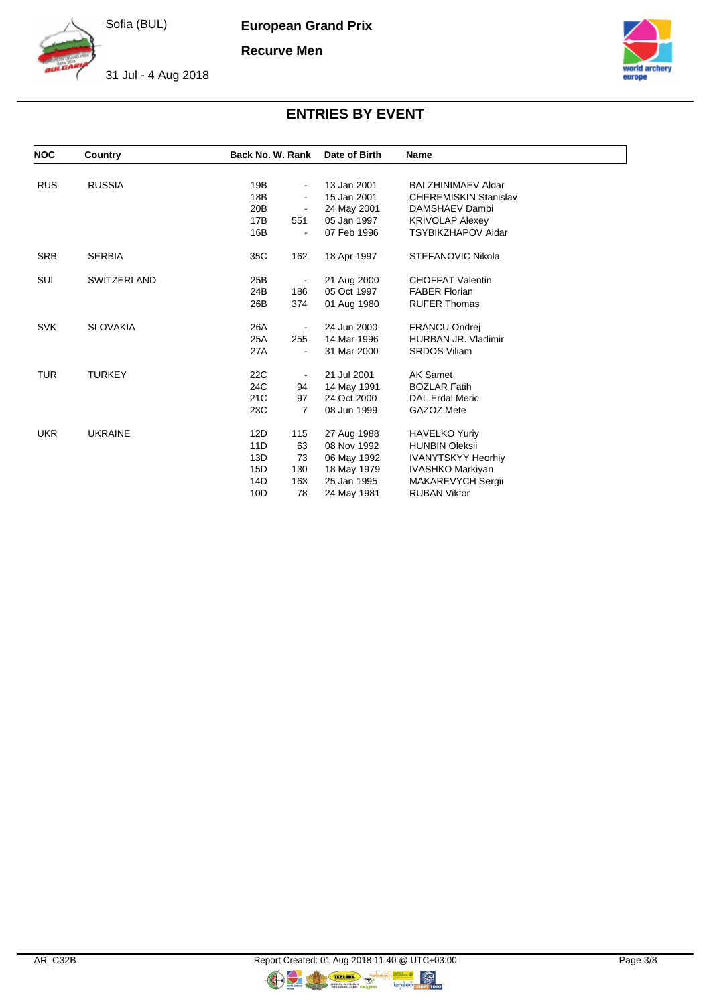**European Grand Prix**

**Recurve Men**



31 Jul - 4 Aug 2018



# **ENTRIES BY EVENT**

| <b>NOC</b> | Country         | Back No. W. Rank      | Date of Birth | <b>Name</b>                  |
|------------|-----------------|-----------------------|---------------|------------------------------|
|            |                 |                       |               |                              |
| <b>RUS</b> | <b>RUSSIA</b>   | 19B<br>$\blacksquare$ | 13 Jan 2001   | <b>BALZHINIMAEV Aldar</b>    |
|            |                 | 18B<br>$\blacksquare$ | 15 Jan 2001   | <b>CHEREMISKIN Stanislav</b> |
|            |                 | 20B<br>$\blacksquare$ | 24 May 2001   | DAMSHAEV Dambi               |
|            |                 | 17B<br>551            | 05 Jan 1997   | <b>KRIVOLAP Alexey</b>       |
|            |                 | 16B                   | 07 Feb 1996   | <b>TSYBIKZHAPOV Aldar</b>    |
| <b>SRB</b> | <b>SERBIA</b>   | 35C<br>162            | 18 Apr 1997   | <b>STEFANOVIC Nikola</b>     |
| <b>SUI</b> | SWITZERLAND     | 25B<br>۰              | 21 Aug 2000   | <b>CHOFFAT Valentin</b>      |
|            |                 | 186<br>24B            | 05 Oct 1997   | <b>FABER Florian</b>         |
|            |                 | 26B<br>374            | 01 Aug 1980   | <b>RUFER Thomas</b>          |
| <b>SVK</b> | <b>SLOVAKIA</b> | 26A<br>-              | 24 Jun 2000   | <b>FRANCU Ondrej</b>         |
|            |                 | 255<br>25A            | 14 Mar 1996   | HURBAN JR. Vladimir          |
|            |                 | 27A                   | 31 Mar 2000   | <b>SRDOS Viliam</b>          |
| <b>TUR</b> | <b>TURKEY</b>   | 22C<br>$\blacksquare$ | 21 Jul 2001   | AK Samet                     |
|            |                 | 24C<br>94             | 14 May 1991   | <b>BOZLAR Fatih</b>          |
|            |                 | 21C<br>97             | 24 Oct 2000   | <b>DAL Erdal Meric</b>       |
|            |                 | 23C<br>7              | 08 Jun 1999   | GAZOZ Mete                   |
| <b>UKR</b> | <b>UKRAINE</b>  | 115<br>12D            | 27 Aug 1988   | <b>HAVELKO Yuriy</b>         |
|            |                 | 11D<br>63             | 08 Nov 1992   | <b>HUNBIN Oleksii</b>        |
|            |                 | 13D<br>73             | 06 May 1992   | <b>IVANYTSKYY Heorhiy</b>    |
|            |                 | 130<br>15D            | 18 May 1979   | <b>IVASHKO Markiyan</b>      |
|            |                 | 163<br>14D            | 25 Jan 1995   | MAKAREVYCH Sergii            |
|            |                 | 10D<br>78             | 24 May 1981   | <b>RUBAN Viktor</b>          |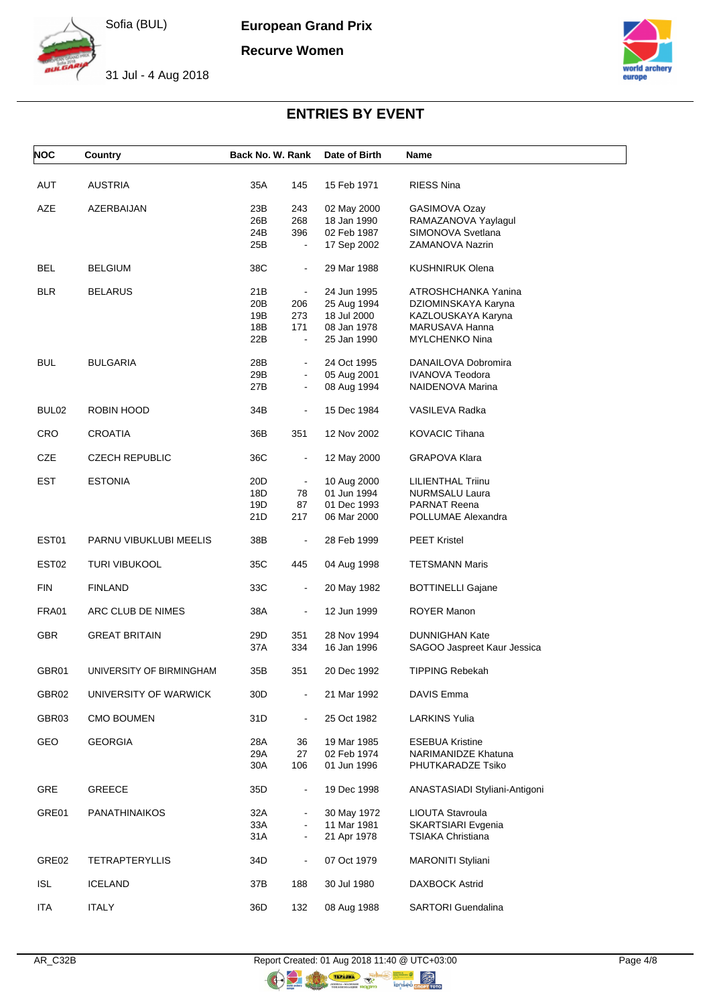**European Grand Prix**

**Recurve Women**



31 Jul - 4 Aug 2018



# **ENTRIES BY EVENT**

| <b>NOC</b>        | Country                  | Back No. W. Rank |                                  | Date of Birth              | Name                                          |
|-------------------|--------------------------|------------------|----------------------------------|----------------------------|-----------------------------------------------|
| <b>AUT</b>        | <b>AUSTRIA</b>           | 35A              | 145                              | 15 Feb 1971                | <b>RIESS Nina</b>                             |
|                   |                          |                  |                                  |                            |                                               |
| AZE               | AZERBAIJAN               | 23B              | 243                              | 02 May 2000                | GASIMOVA Ozay                                 |
|                   |                          | 26B              | 268                              | 18 Jan 1990                | RAMAZANOVA Yaylagul                           |
|                   |                          | 24B              | 396                              | 02 Feb 1987                | SIMONOVA Svetlana                             |
|                   |                          | 25B              | $\blacksquare$                   | 17 Sep 2002                | ZAMANOVA Nazrin                               |
| BEL               | <b>BELGIUM</b>           | 38C              | $\blacksquare$                   | 29 Mar 1988                | <b>KUSHNIRUK Olena</b>                        |
| <b>BLR</b>        | <b>BELARUS</b>           | 21B              | $\blacksquare$                   | 24 Jun 1995                | ATROSHCHANKA Yanina                           |
|                   |                          | 20B              | 206                              | 25 Aug 1994                | DZIOMINSKAYA Karyna                           |
|                   |                          | 19B              | 273                              | 18 Jul 2000                | KAZLOUSKAYA Karyna                            |
|                   |                          | 18B              | 171                              | 08 Jan 1978                | MARUSAVA Hanna                                |
|                   |                          | 22B              | $\blacksquare$                   | 25 Jan 1990                | <b>MYLCHENKO Nina</b>                         |
| <b>BUL</b>        |                          | 28B              |                                  | 24 Oct 1995                |                                               |
|                   | <b>BULGARIA</b>          | 29B              | $\blacksquare$<br>$\blacksquare$ |                            | DANAILOVA Dobromira<br><b>IVANOVA Teodora</b> |
|                   |                          | 27B              | $\blacksquare$                   | 05 Aug 2001<br>08 Aug 1994 | NAIDENOVA Marina                              |
|                   |                          |                  |                                  |                            |                                               |
| BUL <sub>02</sub> | ROBIN HOOD               | 34B              | $\blacksquare$                   | 15 Dec 1984                | VASILEVA Radka                                |
| <b>CRO</b>        | CROATIA                  | 36B              | 351                              | 12 Nov 2002                | <b>KOVACIC Tihana</b>                         |
| CZE               | <b>CZECH REPUBLIC</b>    | 36C              | $\blacksquare$                   | 12 May 2000                | <b>GRAPOVA Klara</b>                          |
| EST               | <b>ESTONIA</b>           | 20D              | $\blacksquare$                   | 10 Aug 2000                | LILIENTHAL Triinu                             |
|                   |                          | 18D              | 78                               | 01 Jun 1994                | <b>NURMSALU Laura</b>                         |
|                   |                          | 19D              | 87                               | 01 Dec 1993                | <b>PARNAT Reena</b>                           |
|                   |                          | 21D              | 217                              | 06 Mar 2000                | POLLUMAE Alexandra                            |
| EST01             | PARNU VIBUKLUBI MEELIS   | 38B              | $\blacksquare$                   | 28 Feb 1999                | <b>PEET Kristel</b>                           |
| EST <sub>02</sub> | <b>TURI VIBUKOOL</b>     | 35C              | 445                              | 04 Aug 1998                | <b>TETSMANN Maris</b>                         |
| <b>FIN</b>        | <b>FINLAND</b>           | 33C              | $\blacksquare$                   | 20 May 1982                | <b>BOTTINELLI Gajane</b>                      |
| FRA01             | ARC CLUB DE NIMES        | 38A              | $\blacksquare$                   | 12 Jun 1999                | ROYER Manon                                   |
| <b>GBR</b>        | <b>GREAT BRITAIN</b>     | 29D              | 351                              | 28 Nov 1994                | <b>DUNNIGHAN Kate</b>                         |
|                   |                          | 37A              | 334                              | 16 Jan 1996                | SAGOO Jaspreet Kaur Jessica                   |
| GBR01             | UNIVERSITY OF BIRMINGHAM | 35B              | 351                              | 20 Dec 1992                | <b>TIPPING Rebekah</b>                        |
| GBR02             | UNIVERSITY OF WARWICK    | 30D              |                                  | 21 Mar 1992                | <b>DAVIS Emma</b>                             |
| GBR03             | <b>CMO BOUMEN</b>        | 31D              | $\blacksquare$                   | 25 Oct 1982                | <b>LARKINS Yulia</b>                          |
| GEO               | <b>GEORGIA</b>           | 28A              | 36                               | 19 Mar 1985                | <b>ESEBUA Kristine</b>                        |
|                   |                          | 29A              | 27                               | 02 Feb 1974                | <b>NARIMANIDZE Khatuna</b>                    |
|                   |                          | 30A              | 106                              | 01 Jun 1996                | PHUTKARADZE Tsiko                             |
| <b>GRE</b>        | <b>GREECE</b>            | 35D              | $\blacksquare$                   | 19 Dec 1998                | ANASTASIADI Styliani-Antigoni                 |
| GRE01             | <b>PANATHINAIKOS</b>     | 32A              |                                  | 30 May 1972                | LIOUTA Stavroula                              |
|                   |                          | 33A              | $\blacksquare$                   | 11 Mar 1981                | SKARTSIARI Evgenia                            |
|                   |                          | 31A              | $\blacksquare$                   | 21 Apr 1978                | <b>TSIAKA Christiana</b>                      |
|                   |                          |                  |                                  |                            |                                               |
| GRE <sub>02</sub> | <b>TETRAPTERYLLIS</b>    | 34D              | $\blacksquare$                   | 07 Oct 1979                | <b>MARONITI Styliani</b>                      |
| <b>ISL</b>        | <b>ICELAND</b>           | 37B              | 188                              | 30 Jul 1980                | <b>DAXBOCK Astrid</b>                         |
| <b>ITA</b>        | <b>ITALY</b>             | 36D              | 132                              | 08 Aug 1988                | <b>SARTORI</b> Guendalina                     |

 $\circledR$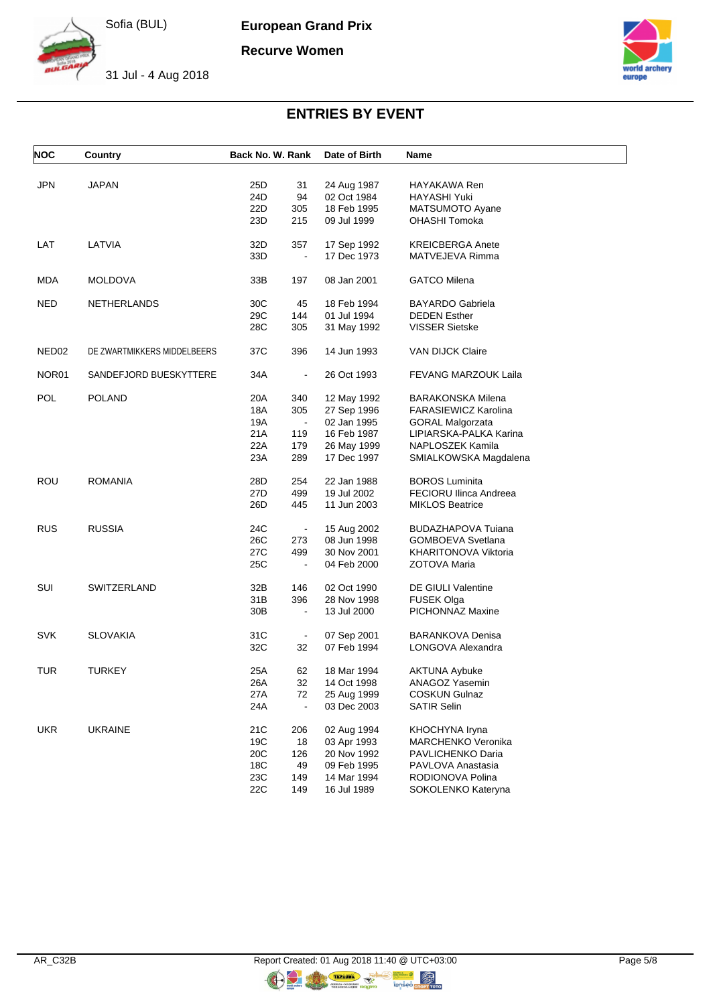**European Grand Prix**

**Recurve Women**



31 Jul - 4 Aug 2018



## **ENTRIES BY EVENT**

| <b>NOC</b> | Country                     | Back No. W. Rank |                | Date of Birth | Name                        |
|------------|-----------------------------|------------------|----------------|---------------|-----------------------------|
|            |                             |                  |                |               |                             |
| <b>JPN</b> | <b>JAPAN</b>                | 25D              | 31             | 24 Aug 1987   | HAYAKAWA Ren                |
|            |                             | 24D              | 94             | 02 Oct 1984   | HAYASHI Yuki                |
|            |                             | 22D              | 305            | 18 Feb 1995   | MATSUMOTO Ayane             |
|            |                             | 23D              | 215            | 09 Jul 1999   | OHASHI Tomoka               |
| LAT        | LATVIA                      | 32D              | 357            | 17 Sep 1992   | <b>KREICBERGA Anete</b>     |
|            |                             | 33D              | $\blacksquare$ | 17 Dec 1973   | MATVEJEVA Rimma             |
| MDA        | <b>MOLDOVA</b>              | 33B              | 197            | 08 Jan 2001   | <b>GATCO Milena</b>         |
| NED        |                             | 30C              | 45             | 18 Feb 1994   | <b>BAYARDO Gabriela</b>     |
|            | <b>NETHERLANDS</b>          |                  | 144            |               |                             |
|            |                             | 29C              |                | 01 Jul 1994   | <b>DEDEN Esther</b>         |
|            |                             | 28C              | 305            | 31 May 1992   | <b>VISSER Sietske</b>       |
| NED02      | DE ZWARTMIKKERS MIDDELBEERS | 37C              | 396            | 14 Jun 1993   | <b>VAN DIJCK Claire</b>     |
| NOR01      | SANDEFJORD BUESKYTTERE      | 34A              | $\blacksquare$ | 26 Oct 1993   | FEVANG MARZOUK Laila        |
| POL        | <b>POLAND</b>               | 20A              | 340            | 12 May 1992   | <b>BARAKONSKA Milena</b>    |
|            |                             | 18A              | 305            | 27 Sep 1996   | <b>FARASIEWICZ Karolina</b> |
|            |                             | 19A              | $\blacksquare$ | 02 Jan 1995   | <b>GORAL Malgorzata</b>     |
|            |                             | 21A              | 119            | 16 Feb 1987   | LIPIARSKA-PALKA Karina      |
|            |                             | 22A              | 179            | 26 May 1999   | NAPLOSZEK Kamila            |
|            |                             | 23A              | 289            | 17 Dec 1997   | SMIALKOWSKA Magdalena       |
| <b>ROU</b> | <b>ROMANIA</b>              | 28D              | 254            | 22 Jan 1988   | <b>BOROS Luminita</b>       |
|            |                             | 27D              | 499            |               | FECIORU Ilinca Andreea      |
|            |                             |                  |                | 19 Jul 2002   |                             |
|            |                             | 26D              | 445            | 11 Jun 2003   | <b>MIKLOS Beatrice</b>      |
| <b>RUS</b> | <b>RUSSIA</b>               | 24C              | $\blacksquare$ | 15 Aug 2002   | <b>BUDAZHAPOVA Tuiana</b>   |
|            |                             | 26C              | 273            | 08 Jun 1998   | <b>GOMBOEVA Svetlana</b>    |
|            |                             | 27C              | 499            | 30 Nov 2001   | KHARITONOVA Viktoria        |
|            |                             | 25C              | $\blacksquare$ | 04 Feb 2000   | ZOTOVA Maria                |
| SUI        | SWITZERLAND                 | 32B              | 146            | 02 Oct 1990   | DE GIULI Valentine          |
|            |                             | 31B              | 396            | 28 Nov 1998   | FUSEK Olga                  |
|            |                             | 30 <sub>B</sub>  | $\blacksquare$ | 13 Jul 2000   | PICHONNAZ Maxine            |
|            |                             |                  |                |               |                             |
| <b>SVK</b> | <b>SLOVAKIA</b>             | 31C              | $\blacksquare$ | 07 Sep 2001   | <b>BARANKOVA Denisa</b>     |
|            |                             | 32C              | 32             | 07 Feb 1994   | LONGOVA Alexandra           |
| <b>TUR</b> | <b>TURKEY</b>               | 25A              | 62             | 18 Mar 1994   | <b>AKTUNA Aybuke</b>        |
|            |                             | 26A              | 32             | 14 Oct 1998   | ANAGOZ Yasemin              |
|            |                             | 27 A             | 72             | 25 Aug 1999   | <b>COSKUN Gulnaz</b>        |
|            |                             | 24A              | $\blacksquare$ | 03 Dec 2003   | <b>SATIR Selin</b>          |
| <b>UKR</b> | <b>UKRAINE</b>              | 21C              | 206            | 02 Aug 1994   | KHOCHYNA Iryna              |
|            |                             | 19C              | 18             | 03 Apr 1993   | MARCHENKO Veronika          |
|            |                             | 20C              | 126            | 20 Nov 1992   | PAVLICHENKO Daria           |
|            |                             | 18C              | 49             | 09 Feb 1995   | PAVLOVA Anastasia           |
|            |                             | 23C              | 149            | 14 Mar 1994   | RODIONOVA Polina            |
|            |                             | 22C              | 149            | 16 Jul 1989   | SOKOLENKO Kateryna          |
|            |                             |                  |                |               |                             |

 $\circledR$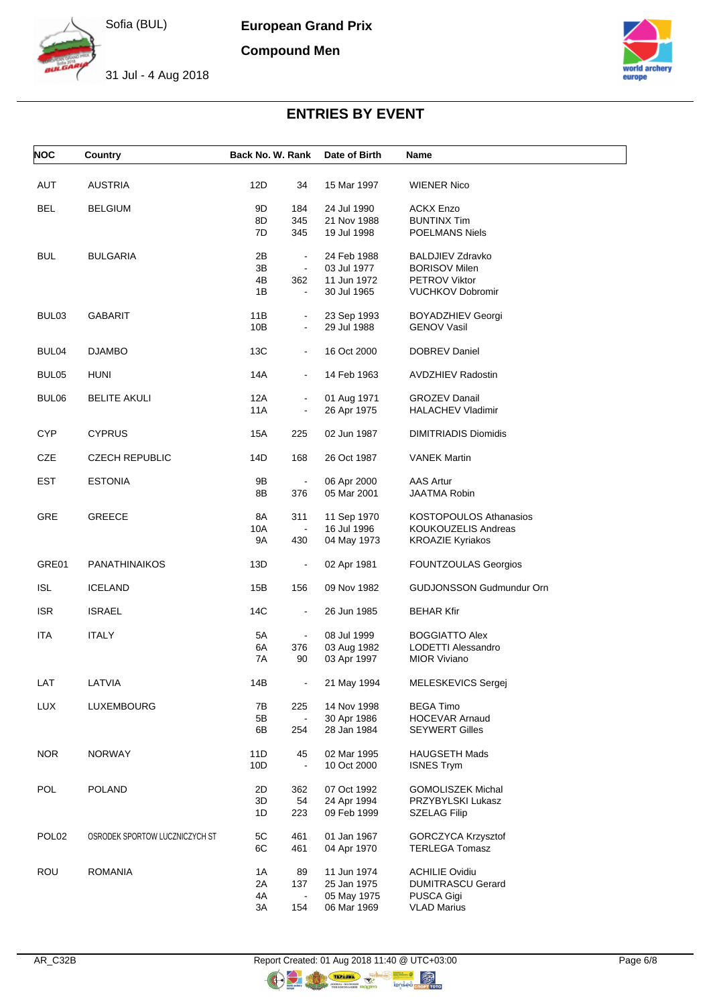**European Grand Prix**

**Compound Men**



31 Jul - 4 Aug 2018



### **ENTRIES BY EVENT**

| <b>NOC</b>        | Country                        | Back No. W. Rank |                | Date of Birth | Name                            |
|-------------------|--------------------------------|------------------|----------------|---------------|---------------------------------|
| AUT               | <b>AUSTRIA</b>                 | 12D              | 34             | 15 Mar 1997   | <b>WIENER Nico</b>              |
| <b>BEL</b>        | <b>BELGIUM</b>                 | 9D               | 184            | 24 Jul 1990   | <b>ACKX Enzo</b>                |
|                   |                                | 8D               | 345            | 21 Nov 1988   | <b>BUNTINX Tim</b>              |
|                   |                                | 7D               | 345            | 19 Jul 1998   | <b>POELMANS Niels</b>           |
| <b>BUL</b>        | <b>BULGARIA</b>                | 2Β               | $\blacksquare$ | 24 Feb 1988   | <b>BALDJIEV Zdravko</b>         |
|                   |                                | 3B               | $\blacksquare$ | 03 Jul 1977   | <b>BORISOV Milen</b>            |
|                   |                                | 4Β               | 362            | 11 Jun 1972   | PETROV Viktor                   |
|                   |                                | 1B               | $\blacksquare$ | 30 Jul 1965   | <b>VUCHKOV Dobromir</b>         |
| BUL <sub>03</sub> | <b>GABARIT</b>                 | 11B              | $\blacksquare$ | 23 Sep 1993   | <b>BOYADZHIEV Georgi</b>        |
|                   |                                | 10B              | $\blacksquare$ | 29 Jul 1988   | <b>GENOV Vasil</b>              |
| BUL04             | <b>DJAMBO</b>                  | 13C              | $\blacksquare$ | 16 Oct 2000   | DOBREV Daniel                   |
| BUL05             | HUNI                           | 14A              |                | 14 Feb 1963   | <b>AVDZHIEV Radostin</b>        |
| BUL06             | <b>BELITE AKULI</b>            | 12A              | $\blacksquare$ | 01 Aug 1971   | <b>GROZEV Danail</b>            |
|                   |                                | 11A              | $\blacksquare$ | 26 Apr 1975   | <b>HALACHEV Vladimir</b>        |
| <b>CYP</b>        | <b>CYPRUS</b>                  | 15A              | 225            | 02 Jun 1987   | <b>DIMITRIADIS Diomidis</b>     |
| CZE               | <b>CZECH REPUBLIC</b>          | 14D              | 168            | 26 Oct 1987   | <b>VANEK Martin</b>             |
| <b>EST</b>        | <b>ESTONIA</b>                 | 9Β               | $\blacksquare$ | 06 Apr 2000   | <b>AAS Artur</b>                |
|                   |                                | 8Β               | 376            | 05 Mar 2001   | <b>JAATMA Robin</b>             |
| <b>GRE</b>        | <b>GREECE</b>                  | 8A               | 311            | 11 Sep 1970   | <b>KOSTOPOULOS Athanasios</b>   |
|                   |                                | 10A              |                | 16 Jul 1996   | <b>KOUKOUZELIS Andreas</b>      |
|                   |                                | 9A               | 430            | 04 May 1973   | <b>KROAZIE Kyriakos</b>         |
| GRE01             | <b>PANATHINAIKOS</b>           | 13D              | $\blacksquare$ | 02 Apr 1981   | FOUNTZOULAS Georgios            |
| <b>ISL</b>        | <b>ICELAND</b>                 | 15B              | 156            | 09 Nov 1982   | <b>GUDJONSSON Gudmundur Orn</b> |
| <b>ISR</b>        | <b>ISRAEL</b>                  | 14C              | $\blacksquare$ | 26 Jun 1985   | <b>BEHAR Kfir</b>               |
| <b>ITA</b>        | <b>ITALY</b>                   | 5A               | $\blacksquare$ | 08 Jul 1999   | <b>BOGGIATTO Alex</b>           |
|                   |                                | 6A               | 376            | 03 Aug 1982   | LODETTI Alessandro              |
|                   |                                | 7A               | 90             | 03 Apr 1997   | <b>MIOR Viviano</b>             |
| LAT               | LATVIA                         | 14B              |                | 21 May 1994   | MELESKEVICS Sergej              |
| <b>LUX</b>        | LUXEMBOURG                     | 7В               | 225            | 14 Nov 1998   | <b>BEGA Timo</b>                |
|                   |                                | 5B               | $\blacksquare$ | 30 Apr 1986   | <b>HOCEVAR Arnaud</b>           |
|                   |                                | 6B               | 254            | 28 Jan 1984   | <b>SEYWERT Gilles</b>           |
| <b>NOR</b>        | <b>NORWAY</b>                  | 11D              | 45             | 02 Mar 1995   | <b>HAUGSETH Mads</b>            |
|                   |                                | 10D              | $\blacksquare$ | 10 Oct 2000   | <b>ISNES Trym</b>               |
| POL               | <b>POLAND</b>                  | 2D               | 362            | 07 Oct 1992   | <b>GOMOLISZEK Michal</b>        |
|                   |                                | 3D               | 54             | 24 Apr 1994   | PRZYBYLSKI Lukasz               |
|                   |                                | 1D               | 223            | 09 Feb 1999   | <b>SZELAG Filip</b>             |
| POL <sub>02</sub> | OSRODEK SPORTOW LUCZNICZYCH ST | 5C               | 461            | 01 Jan 1967   | <b>GORCZYCA Krzysztof</b>       |
|                   |                                | 6C               | 461            | 04 Apr 1970   | <b>TERLEGA Tomasz</b>           |
| <b>ROU</b>        | <b>ROMANIA</b>                 | 1A               | 89             | 11 Jun 1974   | <b>ACHILIE Ovidiu</b>           |
|                   |                                | 2A               | 137            | 25 Jan 1975   | <b>DUMITRASCU Gerard</b>        |
|                   |                                | 4A               | $\blacksquare$ | 05 May 1975   | <b>PUSCA Gigi</b>               |
|                   |                                | ЗΑ               | 154            | 06 Mar 1969   | <b>VLAD Marius</b>              |

 $\circledR$  $\bullet$ 

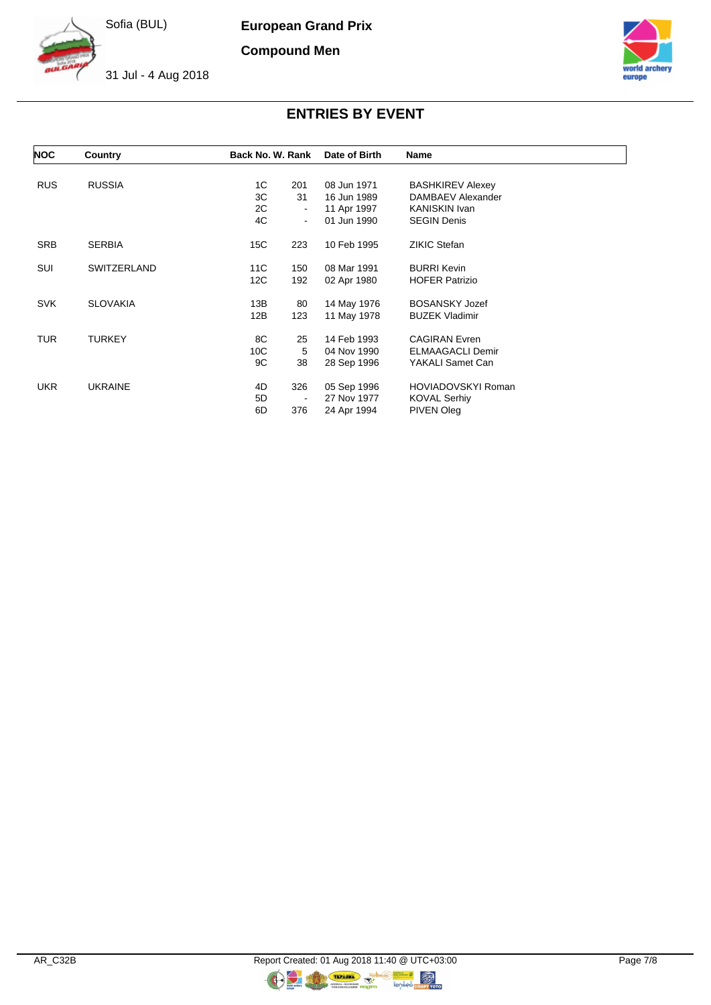**European Grand Prix**

**Compound Men**



31 Jul - 4 Aug 2018



### **ENTRIES BY EVENT**

| <b>NOC</b> | Country         | Back No. W. Rank               | Date of Birth | Name                    |  |
|------------|-----------------|--------------------------------|---------------|-------------------------|--|
| <b>RUS</b> | <b>RUSSIA</b>   | 1C<br>201                      | 08 Jun 1971   | <b>BASHKIREV Alexey</b> |  |
|            |                 | 3C<br>31                       | 16 Jun 1989   | DAMBAEV Alexander       |  |
|            |                 | 2C<br>$\blacksquare$           | 11 Apr 1997   | <b>KANISKIN Ivan</b>    |  |
|            |                 | 4C<br>$\blacksquare$           | 01 Jun 1990   | <b>SEGIN Denis</b>      |  |
| <b>SRB</b> | <b>SERBIA</b>   | 15C<br>223                     | 10 Feb 1995   | <b>ZIKIC Stefan</b>     |  |
| SUI        | SWITZERLAND     | 11C<br>150                     | 08 Mar 1991   | <b>BURRI Kevin</b>      |  |
|            |                 | 12C<br>192                     | 02 Apr 1980   | <b>HOFER Patrizio</b>   |  |
| <b>SVK</b> | <b>SLOVAKIA</b> | 13B<br>80                      | 14 May 1976   | <b>BOSANSKY Jozef</b>   |  |
|            |                 | 12B<br>123                     | 11 May 1978   | <b>BUZEK Vladimir</b>   |  |
| TUR        | <b>TURKEY</b>   | 8C<br>25                       | 14 Feb 1993   | <b>CAGIRAN Evren</b>    |  |
|            |                 | 10 <sup>C</sup><br>5           | 04 Nov 1990   | <b>ELMAAGACLI Demir</b> |  |
|            |                 | 9C<br>38                       | 28 Sep 1996   | YAKALI Samet Can        |  |
| <b>UKR</b> | <b>UKRAINE</b>  | 326<br>4D                      | 05 Sep 1996   | HOVIADOVSKYI Roman      |  |
|            |                 | 5D<br>$\overline{\phantom{a}}$ | 27 Nov 1977   | KOVAL Serhiy            |  |
|            |                 | 6D<br>376                      | 24 Apr 1994   | PIVEN Oleg              |  |

 $\bullet$